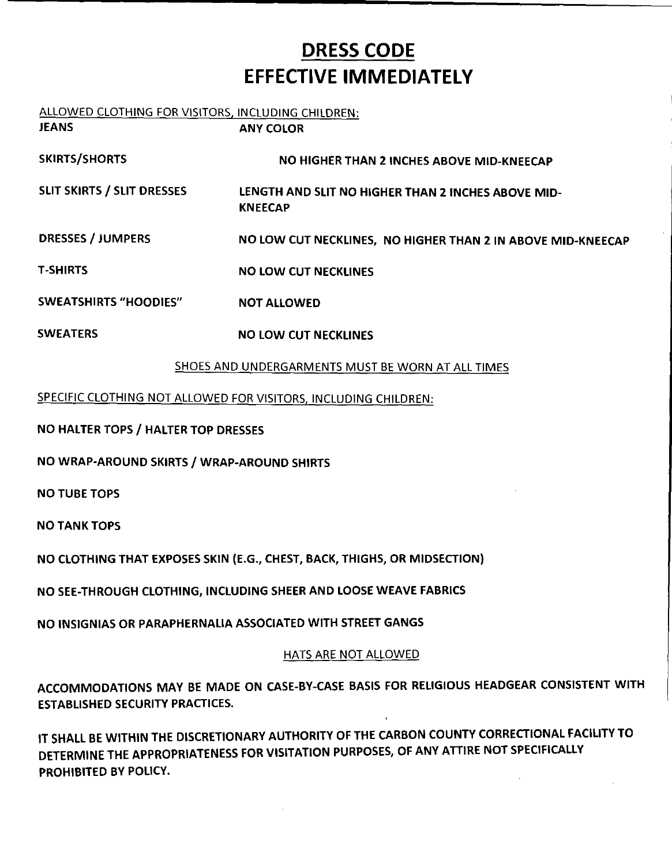# **DRESS CODE EFFECTIVE IMMEDIATELY**

## ALLOWED CLOTHING FOR VISITORS, INCLUDING CHILDREN:

| JEANS                             | <b>ANY COLOR</b>                                                     |
|-----------------------------------|----------------------------------------------------------------------|
| <b>SKIRTS/SHORTS</b>              | NO HIGHER THAN 2 INCHES ABOVE MID-KNEECAP                            |
| <b>SLIT SKIRTS / SLIT DRESSES</b> | LENGTH AND SLIT NO HIGHER THAN 2 INCHES ABOVE MID-<br><b>KNEECAP</b> |
| <b>DRESSES / JUMPERS</b>          | NO LOW CUT NECKLINES, NO HIGHER THAN 2 IN ABOVE MID-KNEECAP          |
| <b>T-SHIRTS</b>                   | <b>NO LOW CUT NECKLINES</b>                                          |
| <b>SWEATSHIRTS "HOODIES"</b>      | <b>NOT ALLOWED</b>                                                   |
| <b>SWEATERS</b>                   | <b>NO LOW CUT NECKLINES</b>                                          |

#### SHOES AND UNDERGARMENTS MUST BE WORN AT ALL TIMES

#### SPECIFIC CLOTHING NOT ALLOWED FOR VISITORS, INCLUDING CHILDREN:

NO HALTER TOPS / HALTER TOP DRESSES

NO WRAP-AROUND SKIRTS / WRAP-AROUND SHIRTS

NO TUBE TOPS

NO TANK TOPS

NO CLOTHING THAT EXPOSES SKIN (E.G., CHEST, BACK, THIGHS, OR MIDSECTION)

NO SEE-THROUGH CLOTHING, INCLUDING SHEER AND LOOSE WEAVE FABRICS

NO INSIGNIAS OR PARAPHERNALIA ASSOCIATED WITH STREET GANGS

#### HATS ARE NOT ALLOWED

ACCOMMODATIONS MAY BE MADE ON CASE-BY-CASE BASIS FOR RELIGIOUS HEADGEAR CONSISTENT WITH ESTABLISHED SECURITY PRACTICES.

IT SHALL BE WITHIN THE DISCRETIONARY AUTHORITY OF THE CARBON COUNTY CORRECTIONAL FACILITY TO DETERMINE THE APPROPRIATENESS FOR VISITATION PURPOSES, OF ANY ATTIRE NOT SPECIFICALLY PROHIBITED BY POLICY.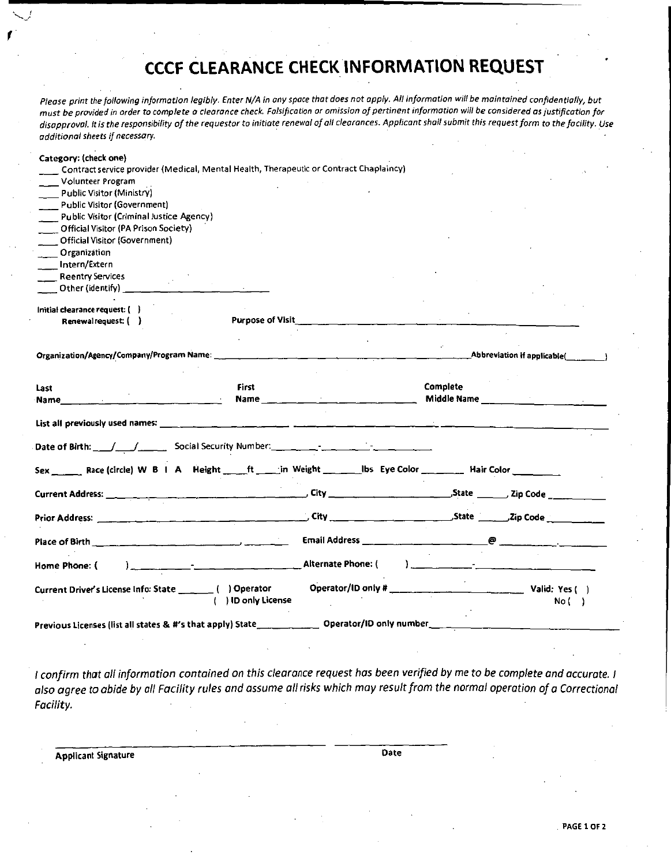### CCCF CLEARANCE CHECK INFORMATION REQUEST

Please print the following information legibly. Enter N/A in any space that does not apply. All information will be maintained confidentially, but must be provided in order to complete o clearance check Falsification or omission of pertinent information will be considered as justification for disapproval. It is the responsibility of the requestor to initiate renewal of all clearances. Applicant shall submit this request form to the facility. Use additional sheets if necessary.

| Category: (check one)                                    |                                                                                     |                     |                                                                                                                                |                                     |                                               |
|----------------------------------------------------------|-------------------------------------------------------------------------------------|---------------------|--------------------------------------------------------------------------------------------------------------------------------|-------------------------------------|-----------------------------------------------|
|                                                          |                                                                                     |                     | Contract service provider (Medical, Mental Health, Therapeutic or Contract Chaplaincy)                                         |                                     |                                               |
| Volunteer Program                                        |                                                                                     |                     |                                                                                                                                |                                     |                                               |
| Public Visitor (Ministry)                                |                                                                                     |                     |                                                                                                                                |                                     |                                               |
| Public Visitor (Government)                              |                                                                                     |                     |                                                                                                                                |                                     |                                               |
|                                                          |                                                                                     |                     |                                                                                                                                |                                     |                                               |
| Public Visitor (Criminal Justice Agency)                 |                                                                                     |                     |                                                                                                                                |                                     |                                               |
| Official Visitor (PA Prison Society)                     |                                                                                     |                     |                                                                                                                                |                                     |                                               |
| Official Visitor (Government)                            |                                                                                     |                     |                                                                                                                                |                                     |                                               |
| Organization                                             |                                                                                     |                     |                                                                                                                                |                                     |                                               |
| Intern/Extern                                            |                                                                                     |                     |                                                                                                                                |                                     |                                               |
| <b>Reentry Services</b>                                  |                                                                                     |                     |                                                                                                                                |                                     |                                               |
| Other (identify) ____                                    |                                                                                     |                     |                                                                                                                                |                                     |                                               |
|                                                          |                                                                                     |                     |                                                                                                                                |                                     |                                               |
| Initial clearance request: ()                            |                                                                                     |                     |                                                                                                                                |                                     |                                               |
| Renewalrequest: ()                                       |                                                                                     | Purpose of Visit__  |                                                                                                                                |                                     |                                               |
|                                                          |                                                                                     |                     |                                                                                                                                |                                     |                                               |
|                                                          |                                                                                     |                     |                                                                                                                                |                                     |                                               |
|                                                          |                                                                                     |                     |                                                                                                                                |                                     | $\_$ Abbreviation if applicable $(\_\_\_\_\_$ |
|                                                          |                                                                                     |                     |                                                                                                                                |                                     |                                               |
|                                                          |                                                                                     |                     |                                                                                                                                |                                     |                                               |
| Last                                                     |                                                                                     | First               |                                                                                                                                | Complete                            |                                               |
| $\sim 10^{11}$<br>Name                                   | $\mathcal{L}^{\text{max}}_{\text{max}}$ and $\mathcal{L}^{\text{max}}_{\text{max}}$ |                     |                                                                                                                                |                                     |                                               |
|                                                          |                                                                                     |                     |                                                                                                                                |                                     |                                               |
|                                                          |                                                                                     |                     |                                                                                                                                |                                     |                                               |
|                                                          |                                                                                     |                     |                                                                                                                                |                                     |                                               |
|                                                          |                                                                                     |                     | Sex _______ Race (circle) W B   A Reight _____ ft _____in Weight _______________ Ibs Eye Color __________ Hair Color _________ |                                     |                                               |
|                                                          |                                                                                     |                     |                                                                                                                                |                                     |                                               |
|                                                          |                                                                                     |                     |                                                                                                                                |                                     |                                               |
|                                                          |                                                                                     |                     |                                                                                                                                |                                     |                                               |
|                                                          |                                                                                     |                     |                                                                                                                                |                                     |                                               |
|                                                          |                                                                                     |                     | Place of Birth $\Box$ $\Box$ $\Box$ $\Box$ $\Box$ $\Box$ Email Address $\Box$ $\Box$ $\Box$ $\Box$ $\Box$ $\Box$ $\Box$        |                                     |                                               |
| Home Phone: (                                            |                                                                                     |                     |                                                                                                                                | ), where the contract $\mathcal{L}$ |                                               |
| Current Driver's License Info: State _______ () Operator |                                                                                     |                     |                                                                                                                                |                                     |                                               |
|                                                          |                                                                                     | ( ) ID only License |                                                                                                                                |                                     | No (                                          |
|                                                          |                                                                                     |                     |                                                                                                                                |                                     |                                               |
|                                                          |                                                                                     |                     | Previous Licenses (list all states & #'s that apply) State_______________ Operator/ID only number_                             |                                     |                                               |
|                                                          |                                                                                     |                     |                                                                                                                                |                                     |                                               |

I confirm that all information contained on this clearance request has been verified by me to be complete and accurate. I also agree to abide by all Facility rules and assume all risks which may result from the normal operation of a Correctional Facility.

Applicant Signature Date